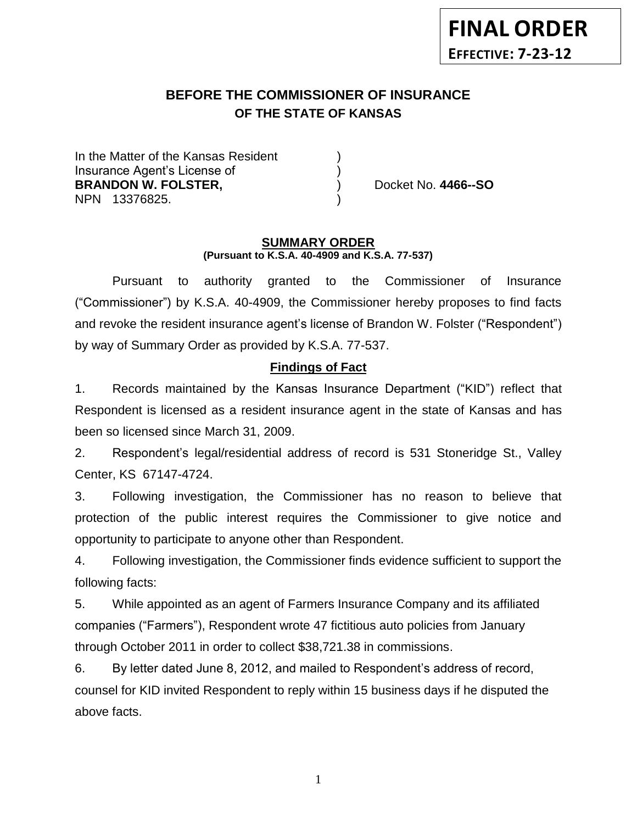# **BEFORE THE COMMISSIONER OF INSURANCE OF THE STATE OF KANSAS**

In the Matter of the Kansas Resident Insurance Agent's License of ) **BRANDON W. FOLSTER,** (and a set of the proof of the proof of the proof of the proof of the proof of the proof of the proof of the proof of the proof of the proof of the proof of the proof of the proof of the proof of the NPN 13376825. )

#### **SUMMARY ORDER (Pursuant to K.S.A. 40-4909 and K.S.A. 77-537)**

Pursuant to authority granted to the Commissioner of Insurance ("Commissioner") by K.S.A. 40-4909, the Commissioner hereby proposes to find facts and revoke the resident insurance agent's license of Brandon W. Folster ("Respondent") by way of Summary Order as provided by K.S.A. 77-537.

# **Findings of Fact**

1. Records maintained by the Kansas Insurance Department ("KID") reflect that Respondent is licensed as a resident insurance agent in the state of Kansas and has been so licensed since March 31, 2009.

2. Respondent's legal/residential address of record is 531 Stoneridge St., Valley Center, KS 67147-4724.

3. Following investigation, the Commissioner has no reason to believe that protection of the public interest requires the Commissioner to give notice and opportunity to participate to anyone other than Respondent.

4. Following investigation, the Commissioner finds evidence sufficient to support the following facts:

5. While appointed as an agent of Farmers Insurance Company and its affiliated companies ("Farmers"), Respondent wrote 47 fictitious auto policies from January through October 2011 in order to collect \$38,721.38 in commissions.

6. By letter dated June 8, 2012, and mailed to Respondent's address of record, counsel for KID invited Respondent to reply within 15 business days if he disputed the above facts.

1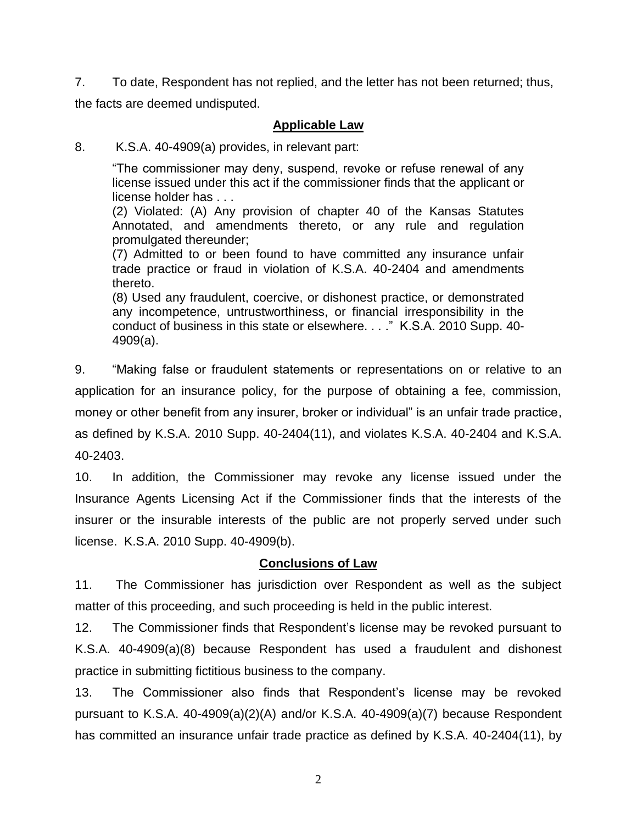7. To date, Respondent has not replied, and the letter has not been returned; thus, the facts are deemed undisputed.

## **Applicable Law**

#### 8. K.S.A. 40-4909(a) provides, in relevant part:

"The commissioner may deny, suspend, revoke or refuse renewal of any license issued under this act if the commissioner finds that the applicant or license holder has . . .

(2) Violated: (A) Any provision of chapter 40 of the Kansas Statutes Annotated, and amendments thereto, or any rule and regulation promulgated thereunder;

(7) Admitted to or been found to have committed any insurance unfair trade practice or fraud in violation of K.S.A. 40-2404 and amendments thereto.

(8) Used any fraudulent, coercive, or dishonest practice, or demonstrated any incompetence, untrustworthiness, or financial irresponsibility in the conduct of business in this state or elsewhere. . . ." K.S.A. 2010 Supp. 40- 4909(a).

9. "Making false or fraudulent statements or representations on or relative to an application for an insurance policy, for the purpose of obtaining a fee, commission, money or other benefit from any insurer, broker or individual" is an unfair trade practice, as defined by K.S.A. 2010 Supp. 40-2404(11), and violates K.S.A. 40-2404 and K.S.A. 40-2403.

10. In addition, the Commissioner may revoke any license issued under the Insurance Agents Licensing Act if the Commissioner finds that the interests of the insurer or the insurable interests of the public are not properly served under such license. K.S.A. 2010 Supp. 40-4909(b).

### **Conclusions of Law**

11. The Commissioner has jurisdiction over Respondent as well as the subject matter of this proceeding, and such proceeding is held in the public interest.

12. The Commissioner finds that Respondent's license may be revoked pursuant to K.S.A. 40-4909(a)(8) because Respondent has used a fraudulent and dishonest practice in submitting fictitious business to the company.

13. The Commissioner also finds that Respondent's license may be revoked pursuant to K.S.A. 40-4909(a)(2)(A) and/or K.S.A. 40-4909(a)(7) because Respondent has committed an insurance unfair trade practice as defined by K.S.A. 40-2404(11), by

2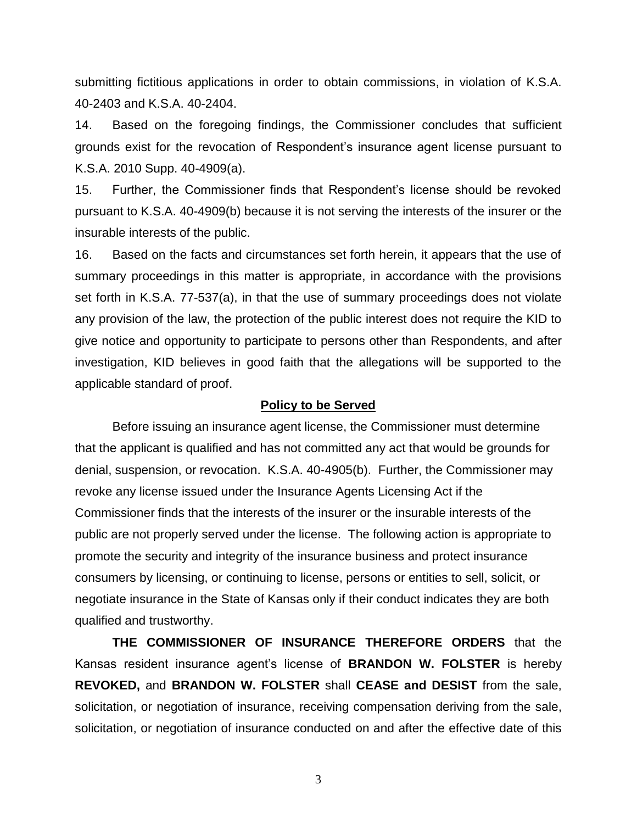submitting fictitious applications in order to obtain commissions, in violation of K.S.A. 40-2403 and K.S.A. 40-2404.

14. Based on the foregoing findings, the Commissioner concludes that sufficient grounds exist for the revocation of Respondent's insurance agent license pursuant to K.S.A. 2010 Supp. 40-4909(a).

15. Further, the Commissioner finds that Respondent's license should be revoked pursuant to K.S.A. 40-4909(b) because it is not serving the interests of the insurer or the insurable interests of the public.

16. Based on the facts and circumstances set forth herein, it appears that the use of summary proceedings in this matter is appropriate, in accordance with the provisions set forth in K.S.A. 77-537(a), in that the use of summary proceedings does not violate any provision of the law, the protection of the public interest does not require the KID to give notice and opportunity to participate to persons other than Respondents, and after investigation, KID believes in good faith that the allegations will be supported to the applicable standard of proof.

#### **Policy to be Served**

Before issuing an insurance agent license, the Commissioner must determine that the applicant is qualified and has not committed any act that would be grounds for denial, suspension, or revocation. K.S.A. 40-4905(b). Further, the Commissioner may revoke any license issued under the Insurance Agents Licensing Act if the Commissioner finds that the interests of the insurer or the insurable interests of the public are not properly served under the license. The following action is appropriate to promote the security and integrity of the insurance business and protect insurance consumers by licensing, or continuing to license, persons or entities to sell, solicit, or negotiate insurance in the State of Kansas only if their conduct indicates they are both qualified and trustworthy.

**THE COMMISSIONER OF INSURANCE THEREFORE ORDERS** that the Kansas resident insurance agent's license of **BRANDON W. FOLSTER** is hereby **REVOKED,** and **BRANDON W. FOLSTER** shall **CEASE and DESIST** from the sale, solicitation, or negotiation of insurance, receiving compensation deriving from the sale, solicitation, or negotiation of insurance conducted on and after the effective date of this

3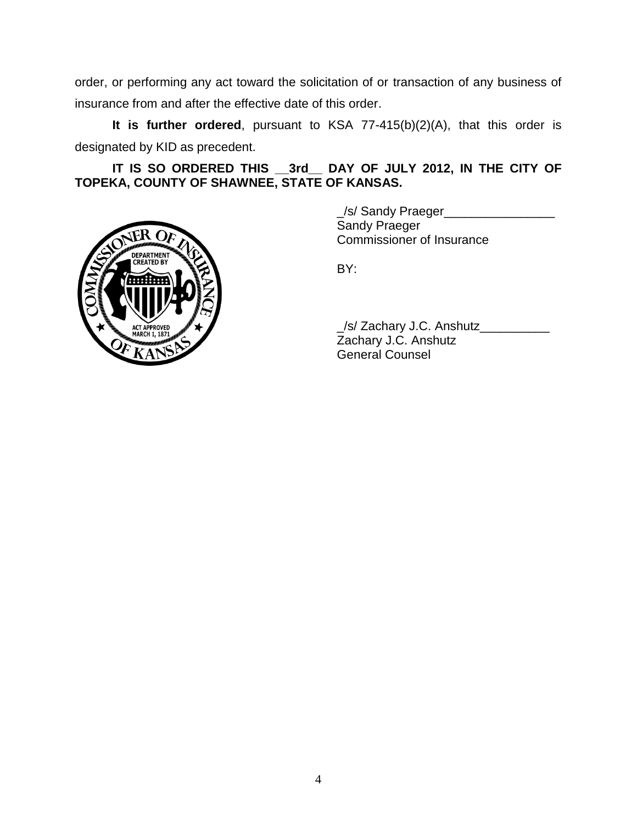order, or performing any act toward the solicitation of or transaction of any business of insurance from and after the effective date of this order.

**It is further ordered**, pursuant to KSA 77-415(b)(2)(A), that this order is designated by KID as precedent.

**IT IS SO ORDERED THIS \_\_3rd\_\_ DAY OF JULY 2012, IN THE CITY OF TOPEKA, COUNTY OF SHAWNEE, STATE OF KANSAS.**



\_/s/ Sandy Praeger\_\_\_\_\_\_\_\_\_\_\_\_\_\_\_\_ Sandy Praeger Commissioner of Insurance

BY:

\_/s/ Zachary J.C. Anshutz\_\_\_\_\_\_\_\_\_\_ Zachary J.C. Anshutz General Counsel